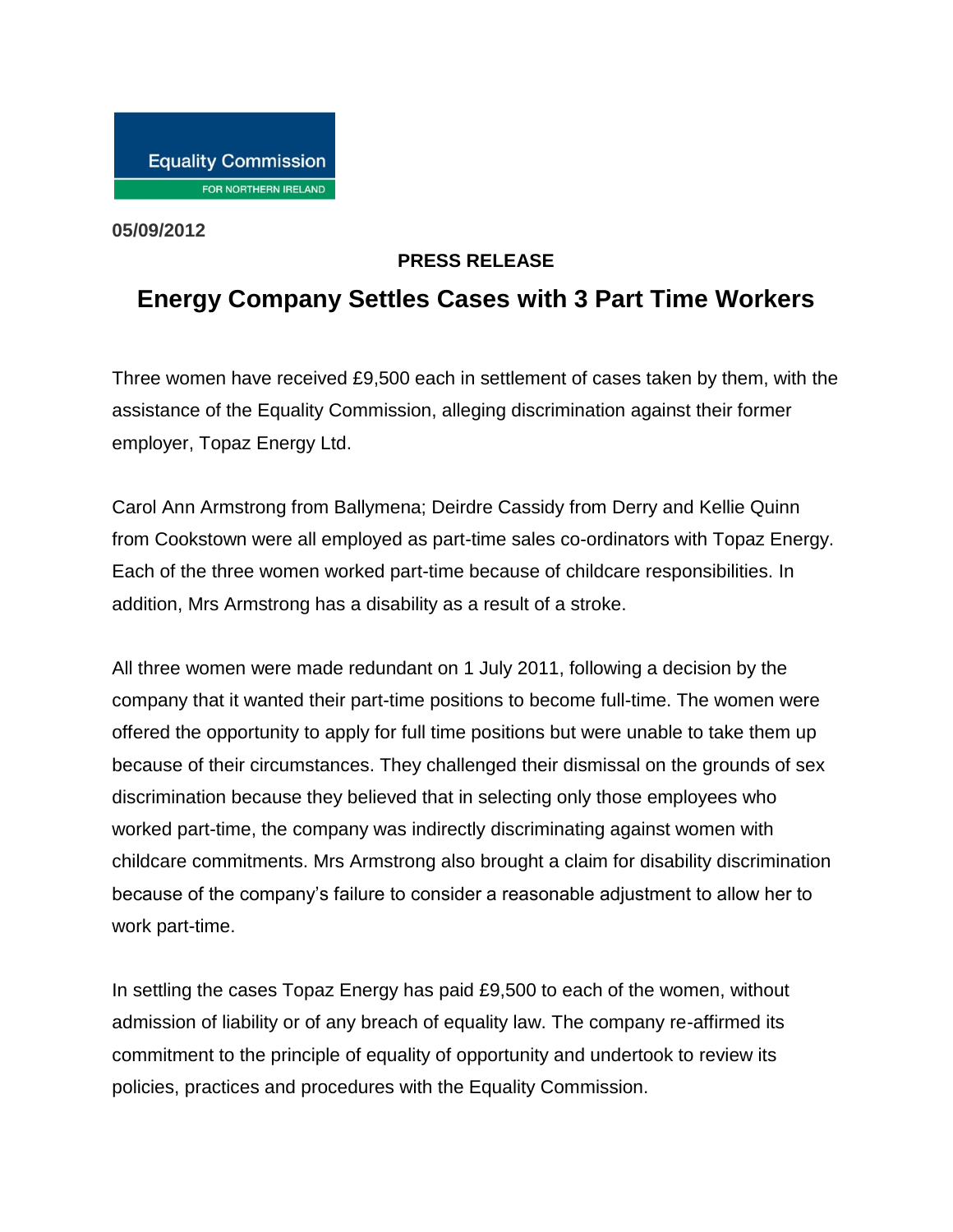**05/09/2012**

## **PRESS RELEASE**

## **Energy Company Settles Cases with 3 Part Time Workers**

Three women have received £9,500 each in settlement of cases taken by them, with the assistance of the Equality Commission, alleging discrimination against their former employer, Topaz Energy Ltd.

Carol Ann Armstrong from Ballymena; Deirdre Cassidy from Derry and Kellie Quinn from Cookstown were all employed as part-time sales co-ordinators with Topaz Energy. Each of the three women worked part-time because of childcare responsibilities. In addition, Mrs Armstrong has a disability as a result of a stroke.

All three women were made redundant on 1 July 2011, following a decision by the company that it wanted their part-time positions to become full-time. The women were offered the opportunity to apply for full time positions but were unable to take them up because of their circumstances. They challenged their dismissal on the grounds of sex discrimination because they believed that in selecting only those employees who worked part-time, the company was indirectly discriminating against women with childcare commitments. Mrs Armstrong also brought a claim for disability discrimination because of the company's failure to consider a reasonable adjustment to allow her to work part-time.

In settling the cases Topaz Energy has paid £9,500 to each of the women, without admission of liability or of any breach of equality law. The company re-affirmed its commitment to the principle of equality of opportunity and undertook to review its policies, practices and procedures with the Equality Commission.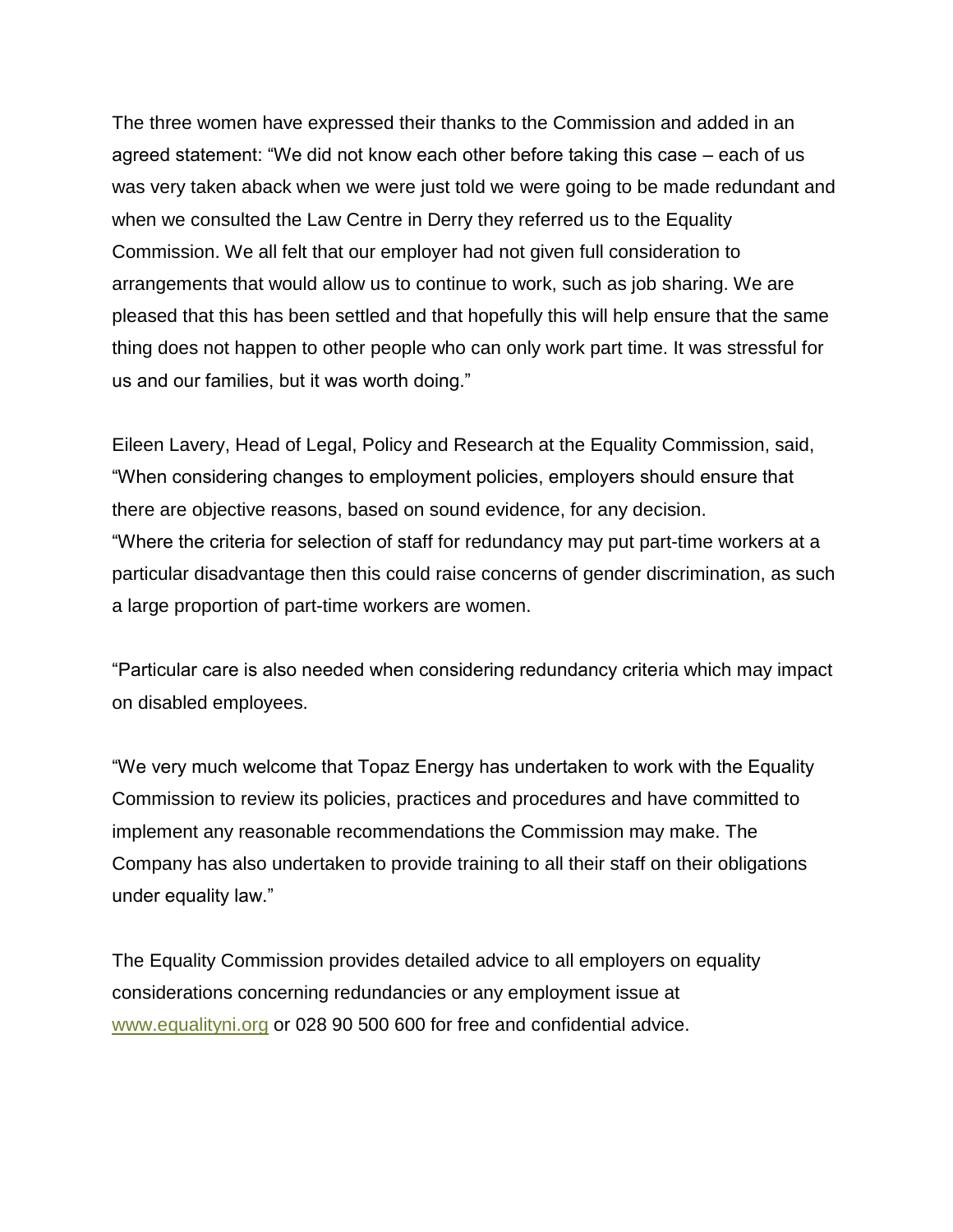The three women have expressed their thanks to the Commission and added in an agreed statement: "We did not know each other before taking this case – each of us was very taken aback when we were just told we were going to be made redundant and when we consulted the Law Centre in Derry they referred us to the Equality Commission. We all felt that our employer had not given full consideration to arrangements that would allow us to continue to work, such as job sharing. We are pleased that this has been settled and that hopefully this will help ensure that the same thing does not happen to other people who can only work part time. It was stressful for us and our families, but it was worth doing."

Eileen Lavery, Head of Legal, Policy and Research at the Equality Commission, said, "When considering changes to employment policies, employers should ensure that there are objective reasons, based on sound evidence, for any decision. "Where the criteria for selection of staff for redundancy may put part-time workers at a particular disadvantage then this could raise concerns of gender discrimination, as such a large proportion of part-time workers are women.

"Particular care is also needed when considering redundancy criteria which may impact on disabled employees.

"We very much welcome that Topaz Energy has undertaken to work with the Equality Commission to review its policies, practices and procedures and have committed to implement any reasonable recommendations the Commission may make. The Company has also undertaken to provide training to all their staff on their obligations under equality law."

The Equality Commission provides detailed advice to all employers on equality considerations concerning redundancies or any employment issue at [www.equalityni.org](http://www.equalityni.org/) or 028 90 500 600 for free and confidential advice.